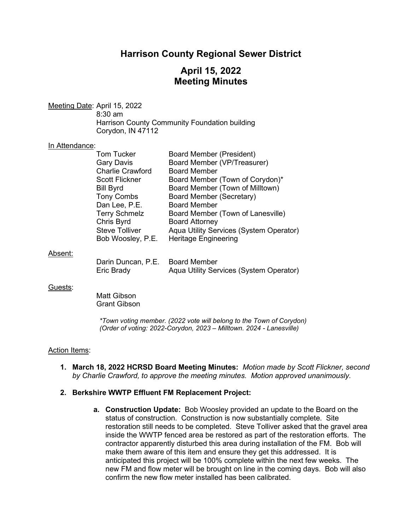# **Harrison County Regional Sewer District**

# **April 15, 2022 Meeting Minutes**

Meeting Date: April 15, 2022 8:30 am Harrison County Community Foundation building Corydon, IN 47112

#### In Attendance:

| <b>Tom Tucker</b>       | <b>Board Member (President)</b>         |
|-------------------------|-----------------------------------------|
| <b>Gary Davis</b>       | Board Member (VP/Treasurer)             |
| <b>Charlie Crawford</b> | <b>Board Member</b>                     |
| <b>Scott Flickner</b>   | Board Member (Town of Corydon)*         |
| <b>Bill Byrd</b>        | Board Member (Town of Milltown)         |
| <b>Tony Combs</b>       | <b>Board Member (Secretary)</b>         |
| Dan Lee, P.E.           | <b>Board Member</b>                     |
| <b>Terry Schmelz</b>    | Board Member (Town of Lanesville)       |
| Chris Byrd              | <b>Board Attorney</b>                   |
| <b>Steve Tolliver</b>   | Aqua Utility Services (System Operator) |
| Bob Woosley, P.E.       | <b>Heritage Engineering</b>             |
|                         |                                         |

### Absent:

| Darin Duncan, P.E. Board Member |                                         |
|---------------------------------|-----------------------------------------|
| <b>Eric Brady</b>               | Aqua Utility Services (System Operator) |

#### Guests:

Matt Gibson Grant Gibson

*\*Town voting member. (2022 vote will belong to the Town of Corydon) (Order of voting: 2022-Corydon, 2023 – Milltown. 2024 - Lanesville)* 

### Action Items:

**1. March 18, 2022 HCRSD Board Meeting Minutes:** *Motion made by Scott Flickner, second by Charlie Crawford, to approve the meeting minutes. Motion approved unanimously.*

### **2. Berkshire WWTP Effluent FM Replacement Project:**

**a. Construction Update:** Bob Woosley provided an update to the Board on the status of construction. Construction is now substantially complete. Site restoration still needs to be completed. Steve Tolliver asked that the gravel area inside the WWTP fenced area be restored as part of the restoration efforts. The contractor apparently disturbed this area during installation of the FM. Bob will make them aware of this item and ensure they get this addressed. It is anticipated this project will be 100% complete within the next few weeks. The new FM and flow meter will be brought on line in the coming days. Bob will also confirm the new flow meter installed has been calibrated.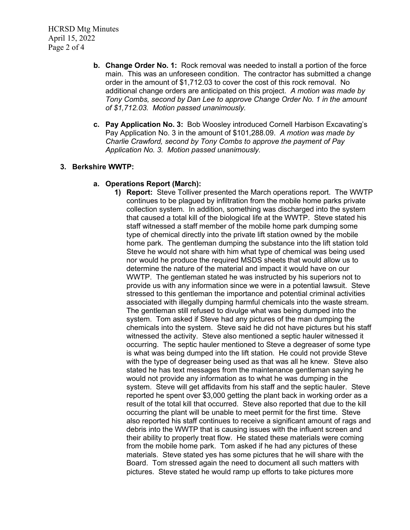HCRSD Mtg Minutes April 15, 2022 Page 2 of 4

- **b. Change Order No. 1:** Rock removal was needed to install a portion of the force main. This was an unforeseen condition. The contractor has submitted a change order in the amount of \$1,712.03 to cover the cost of this rock removal. No additional change orders are anticipated on this project. *A motion was made by Tony Combs, second by Dan Lee to approve Change Order No. 1 in the amount of \$1,712.03. Motion passed unanimously.*
- **c. Pay Application No. 3:** Bob Woosley introduced Cornell Harbison Excavating's Pay Application No. 3 in the amount of \$101,288.09. *A motion was made by Charlie Crawford, second by Tony Combs to approve the payment of Pay Application No. 3. Motion passed unanimously.*

## **3. Berkshire WWTP:**

## **a. Operations Report (March):**

**1) Report:** Steve Tolliver presented the March operations report. The WWTP continues to be plagued by infiltration from the mobile home parks private collection system. In addition, something was discharged into the system that caused a total kill of the biological life at the WWTP. Steve stated his staff witnessed a staff member of the mobile home park dumping some type of chemical directly into the private lift station owned by the mobile home park. The gentleman dumping the substance into the lift station told Steve he would not share with him what type of chemical was being used nor would he produce the required MSDS sheets that would allow us to determine the nature of the material and impact it would have on our WWTP. The gentleman stated he was instructed by his superiors not to provide us with any information since we were in a potential lawsuit. Steve stressed to this gentleman the importance and potential criminal activities associated with illegally dumping harmful chemicals into the waste stream. The gentleman still refused to divulge what was being dumped into the system. Tom asked if Steve had any pictures of the man dumping the chemicals into the system. Steve said he did not have pictures but his staff witnessed the activity. Steve also mentioned a septic hauler witnessed it occurring. The septic hauler mentioned to Steve a degreaser of some type is what was being dumped into the lift station. He could not provide Steve with the type of degreaser being used as that was all he knew. Steve also stated he has text messages from the maintenance gentleman saying he would not provide any information as to what he was dumping in the system. Steve will get affidavits from his staff and the septic hauler. Steve reported he spent over \$3,000 getting the plant back in working order as a result of the total kill that occurred. Steve also reported that due to the kill occurring the plant will be unable to meet permit for the first time. Steve also reported his staff continues to receive a significant amount of rags and debris into the WWTP that is causing issues with the influent screen and their ability to properly treat flow. He stated these materials were coming from the mobile home park. Tom asked if he had any pictures of these materials. Steve stated yes has some pictures that he will share with the Board. Tom stressed again the need to document all such matters with pictures. Steve stated he would ramp up efforts to take pictures more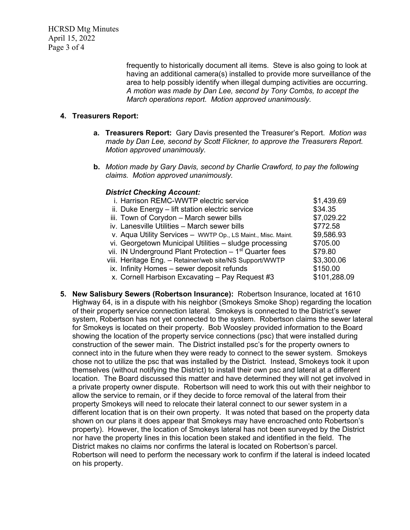HCRSD Mtg Minutes April 15, 2022 Page 3 of 4

> frequently to historically document all items. Steve is also going to look at having an additional camera(s) installed to provide more surveillance of the area to help possibly identify when illegal dumping activities are occurring. *A motion was made by Dan Lee, second by Tony Combs, to accept the March operations report. Motion approved unanimously.*

## **4. Treasurers Report:**

- **a. Treasurers Report:** Gary Davis presented the Treasurer's Report. *Motion was made by Dan Lee, second by Scott Flickner, to approve the Treasurers Report. Motion approved unanimously.*
- **b.** *Motion made by Gary Davis, second by Charlie Crawford, to pay the following claims. Motion approved unanimously.*

## *District Checking Account:*

| i. Harrison REMC-WWTP electric service                               | \$1,439.69   |
|----------------------------------------------------------------------|--------------|
| ii. Duke Energy - lift station electric service                      | \$34.35      |
| iii. Town of Corydon - March sewer bills                             | \$7,029.22   |
| iv. Lanesville Utilities - March sewer bills                         | \$772.58     |
| v. Aqua Utility Services - WWTP Op., LS Maint., Misc. Maint.         | \$9,586.93   |
| vi. Georgetown Municipal Utilities - sludge processing               | \$705.00     |
| vii. IN Underground Plant Protection $-1$ <sup>st</sup> Quarter fees | \$79.80      |
| viii. Heritage Eng. – Retainer/web site/NS Support/WWTP              | \$3,300.06   |
| ix. Infinity Homes – sewer deposit refunds                           | \$150.00     |
| x. Cornell Harbison Excavating - Pay Request #3                      | \$101,288.09 |

**5. New Salisbury Sewers (Robertson Insurance):** Robertson Insurance, located at 1610 Highway 64, is in a dispute with his neighbor (Smokeys Smoke Shop) regarding the location of their property service connection lateral. Smokeys is connected to the District's sewer system, Robertson has not yet connected to the system. Robertson claims the sewer lateral for Smokeys is located on their property. Bob Woosley provided information to the Board showing the location of the property service connections (psc) that were installed during construction of the sewer main. The District installed psc's for the property owners to connect into in the future when they were ready to connect to the sewer system. Smokeys chose not to utilize the psc that was installed by the District. Instead, Smokeys took it upon themselves (without notifying the District) to install their own psc and lateral at a different location. The Board discussed this matter and have determined they will not get involved in a private property owner dispute. Robertson will need to work this out with their neighbor to allow the service to remain, or if they decide to force removal of the lateral from their property Smokeys will need to relocate their lateral connect to our sewer system in a different location that is on their own property. It was noted that based on the property data shown on our plans it does appear that Smokeys may have encroached onto Robertson's property). However, the location of Smokeys lateral has not been surveyed by the District nor have the property lines in this location been staked and identified in the field. The District makes no claims nor confirms the lateral is located on Robertson's parcel. Robertson will need to perform the necessary work to confirm if the lateral is indeed located on his property.